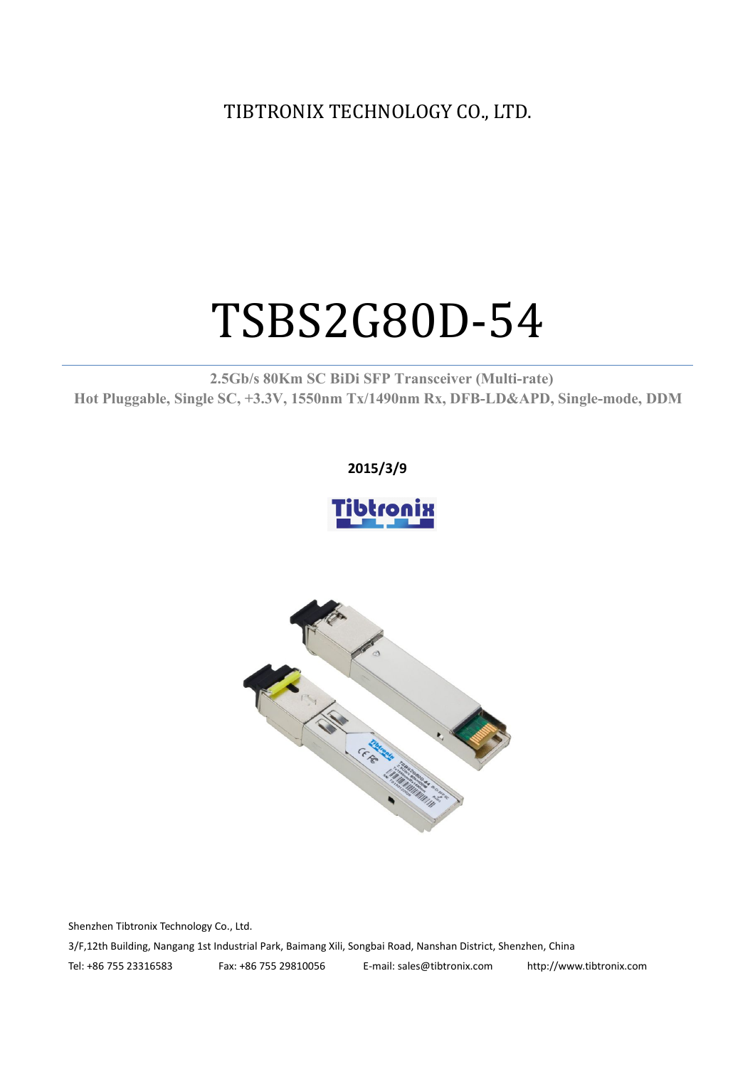TIBTRONIX TECHNOLOGY CO., LTD.

# TSBS2G80D-54

**2.5Gb/s 80Km SC BiDi SFP Transceiver (Multi-rate) Hot Pluggable, Single SC, +3.3V, 1550nm Tx/1490nm Rx, DFB-LD&APD, Single-mode, DDM**

#### **2015/3/9**





Shenzhen Tibtronix Technology Co., Ltd.

3/F,12th Building, Nangang 1st Industrial Park, Baimang Xili, Songbai Road, Nanshan District, Shenzhen, China

Tel: +86 755 23316583 Fax: +86 755 29810056 E-mail: sales@tibtronix.com http://www.tibtronix.com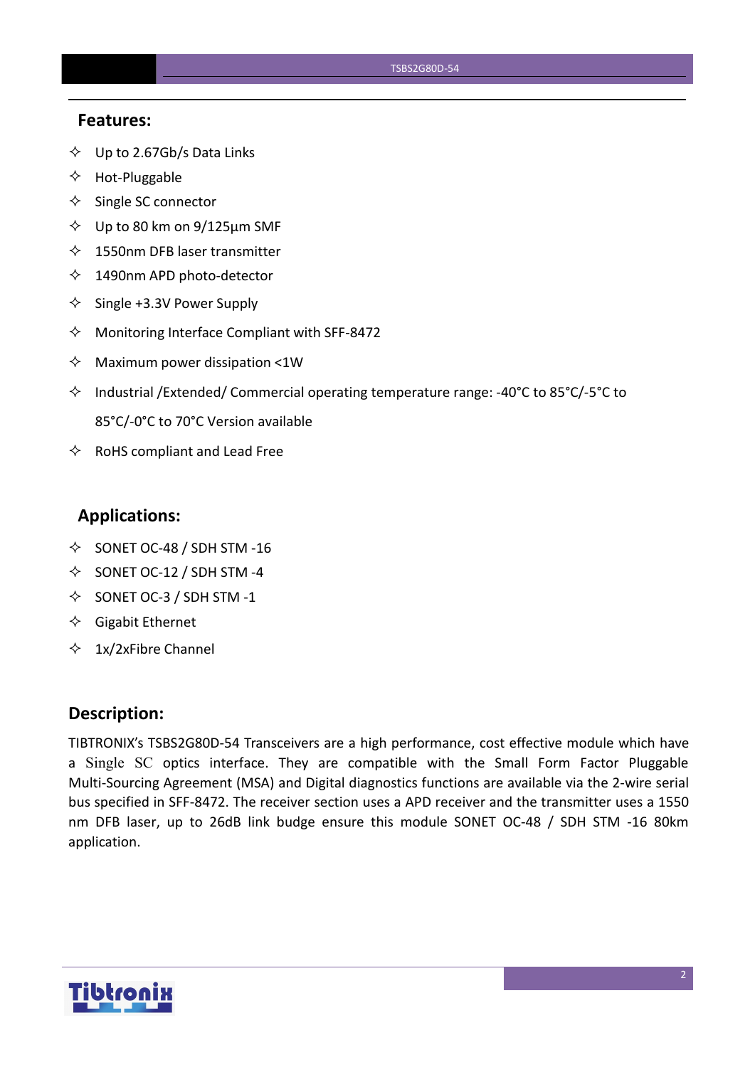#### **Features:**

- $\diamondsuit$  Up to 2.67Gb/s Data Links
- $\Leftrightarrow$  Hot-Pluggable
- $\Leftrightarrow$  Single SC connector
- $\diamond$  Up to 80 km on 9/125 µm SMF
- $\lozenge$  1550nm DFB laser transmitter
- $\lozenge$  1490nm APD photo-detector
- $\diamond$  Single +3.3V Power Supply
- $\Diamond$  Monitoring Interface Compliant with SFF-8472
- $\Diamond$  Maximum power dissipation <1W
- Industrial /Extended/ Commercial operating temperature range: -40°C to 85°C/-5°C to 85°C/-0°C to 70°C Version available
- $\Leftrightarrow$  RoHS compliant and Lead Free

#### **Applications:**

- $\diamond$  SONET OC-48 / SDH STM -16
- $\diamond$  SONET OC-12 / SDH STM -4
- $\diamond$  SONET OC-3 / SDH STM -1
- $\Diamond$  Gigabit Ethernet
- $\div$  1x/2xFibre Channel

#### **Description:**

TIBTRONIX's TSBS2G80D-54 Transceivers are a high performance, cost effective module which have a Single SC optics interface. They are compatible with the Small Form Factor Pluggable Multi-Sourcing Agreement (MSA) and Digital diagnostics functions are available via the 2-wire serial bus specified in SFF-8472.The receiver section uses a APD receiver and the transmitter uses a 1550 nm DFB laser, up to 26dB link budge ensure this module SONET OC-48 / SDH STM -16 80km application.

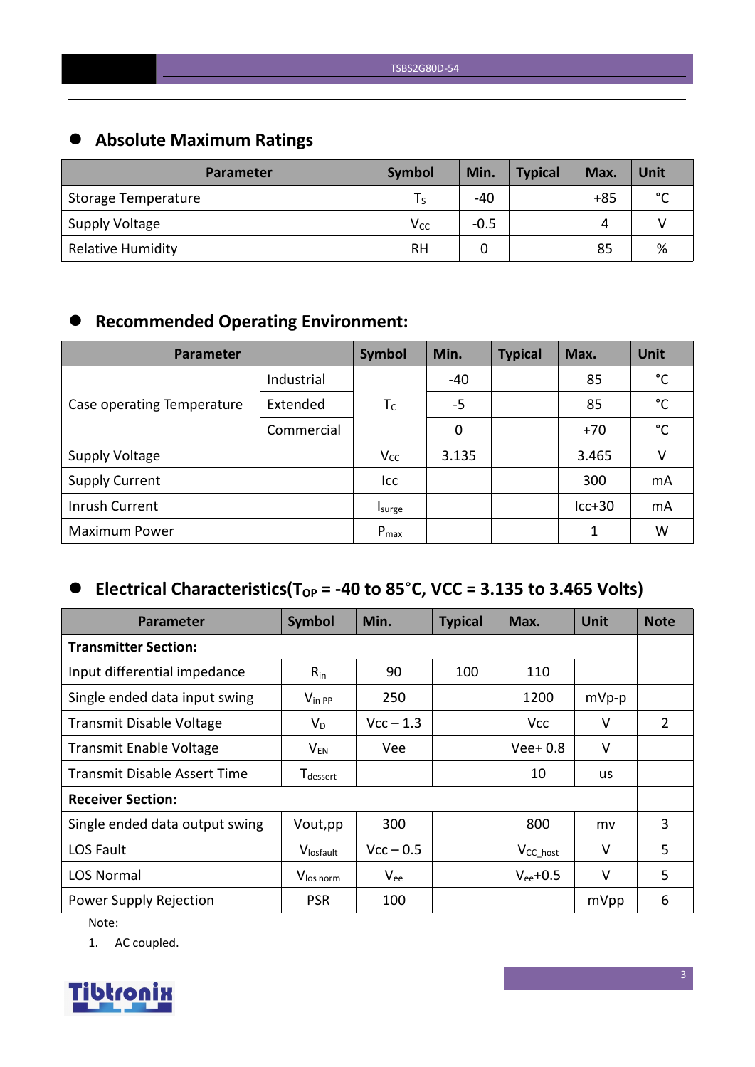# **Absolute Maximum Ratings**

| <b>Parameter</b>           | Symbol    | Min.   | <b>Typical</b> | Max.  | Unit        |
|----------------------------|-----------|--------|----------------|-------|-------------|
| <b>Storage Temperature</b> |           | $-40$  |                | $+85$ | $\sim$<br>◡ |
| <b>Supply Voltage</b>      | $V_{CC}$  | $-0.5$ |                | Δ     |             |
| <b>Relative Humidity</b>   | <b>RH</b> |        |                | 85    | %           |

# **Recommended Operating Environment:**

| Parameter                  | Symbol     | Min.      | <b>Typical</b> | Max. | Unit     |              |
|----------------------------|------------|-----------|----------------|------|----------|--------------|
|                            | Industrial |           | -40            |      | 85       | °C           |
| Case operating Temperature | Extended   | $T_C$     | $-5$           |      | 85       | $^{\circ}$ C |
|                            | Commercial |           | 0              |      | $+70$    | $^{\circ}$ C |
| <b>Supply Voltage</b>      |            | $V_{CC}$  | 3.135          |      | 3.465    | v            |
| <b>Supply Current</b>      |            | Icc       |                |      | 300      | mA           |
| Inrush Current             |            | Isurge    |                |      | $lcc+30$ | mA           |
| <b>Maximum Power</b>       |            | $P_{max}$ |                |      | 1        | W            |

# $\bullet$  Electrical Characteristics(T<sub>OP</sub> = -40 to 85°C, VCC = 3.135 to 3.465 Volts)

| <b>Parameter</b>                    | Symbol                      | Min.        | <b>Typical</b> | Max.                 | <b>Unit</b> | <b>Note</b>    |  |
|-------------------------------------|-----------------------------|-------------|----------------|----------------------|-------------|----------------|--|
| <b>Transmitter Section:</b>         |                             |             |                |                      |             |                |  |
| Input differential impedance        | $R_{in}$                    | 90          | 100            | 110                  |             |                |  |
| Single ended data input swing       | $V_{\text{in PP}}$          | 250         |                | 1200                 | $mVp-p$     |                |  |
| Transmit Disable Voltage            | $V_D$                       | $Vcc - 1.3$ |                | <b>Vcc</b>           | V           | $\overline{2}$ |  |
| <b>Transmit Enable Voltage</b>      | $\mathsf{V}_{\mathsf{EN}}$  | Vee         |                | $Vee+0.8$            | $\vee$      |                |  |
| <b>Transmit Disable Assert Time</b> | <b>T</b> <sub>dessert</sub> |             |                | 10                   | <b>us</b>   |                |  |
| <b>Receiver Section:</b>            |                             |             |                |                      |             |                |  |
| Single ended data output swing      | Vout, pp                    | 300         |                | 800                  | mv          | 3              |  |
| LOS Fault                           | Vlosfault                   | $Vcc - 0.5$ |                | V <sub>CC_host</sub> | $\vee$      | 5              |  |
| <b>LOS Normal</b>                   | V <sub>los norm</sub>       | $V_{ee}$    |                | $V_{ee}$ +0.5        | V           | 5              |  |
| Power Supply Rejection              | <b>PSR</b>                  | 100         |                |                      | mVpp        | 6              |  |

Note:

1. AC coupled.

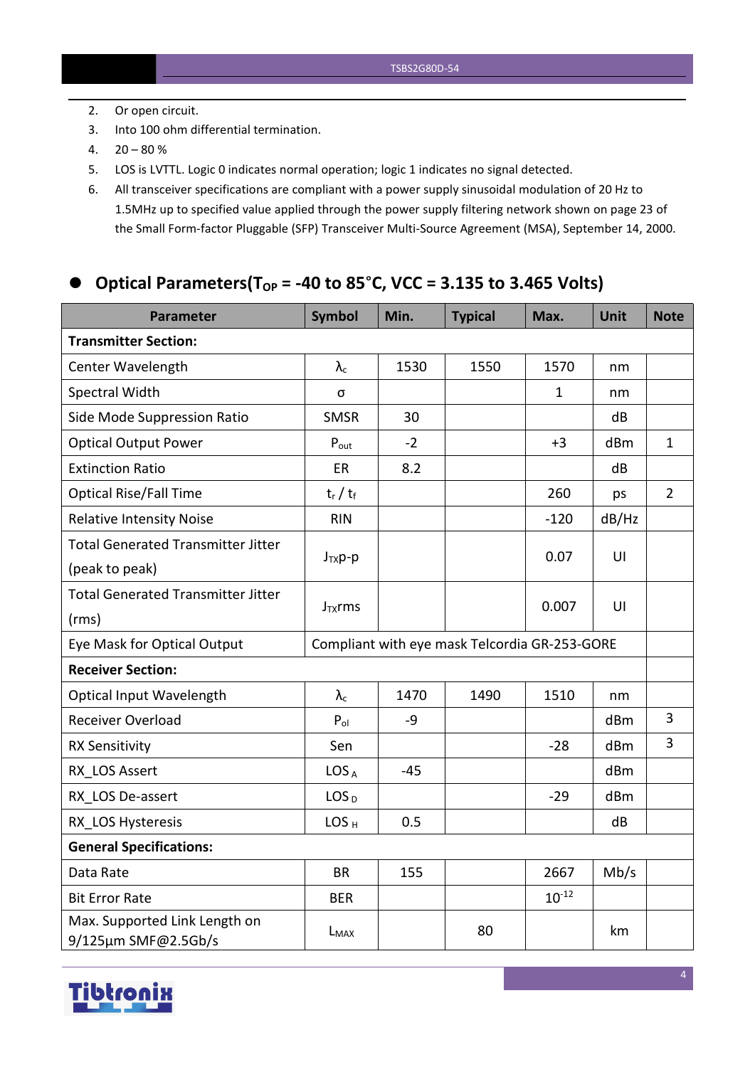- 2. Or open circuit.
- 3. Into 100 ohm differential termination.
- $4. \quad 20 80 \%$
- 5. LOS is LVTTL. Logic 0 indicates normal operation; logic 1 indicates no signal detected.
- 6. All transceiver specifications are compliant with a power supply sinusoidal modulation of 20 Hz to 1.5MHz up to specified value applied through the powersupply filtering network shown on page 23 of the Small Form-factor Pluggable (SFP) Transceiver Multi-Source Agreement (MSA), September 14, 2000.

### **Optical Parameters(TOP = -40 to 85**°**C, VCC = 3.135 to 3.465 Volts)**

| <b>Parameter</b>                                     | <b>Symbol</b>                                 | Min.  | <b>Typical</b> | Max.         | <b>Unit</b> | <b>Note</b>    |
|------------------------------------------------------|-----------------------------------------------|-------|----------------|--------------|-------------|----------------|
| <b>Transmitter Section:</b>                          |                                               |       |                |              |             |                |
| Center Wavelength                                    | $\lambda_{\rm c}$                             | 1530  | 1550           | 1570         | nm          |                |
| Spectral Width                                       | σ                                             |       |                | $\mathbf{1}$ | nm          |                |
| Side Mode Suppression Ratio                          | <b>SMSR</b>                                   | 30    |                |              | dB          |                |
| <b>Optical Output Power</b>                          | $P_{\text{out}}$                              | $-2$  |                | $+3$         | dBm         | $\mathbf{1}$   |
| <b>Extinction Ratio</b>                              | ER                                            | 8.2   |                |              | dB          |                |
| <b>Optical Rise/Fall Time</b>                        | $t_r / t_f$                                   |       |                | 260          | ps          | $\overline{2}$ |
| <b>Relative Intensity Noise</b>                      | <b>RIN</b>                                    |       |                | $-120$       | dB/Hz       |                |
| <b>Total Generated Transmitter Jitter</b>            |                                               |       |                | 0.07         | UI          |                |
| (peak to peak)                                       | $J_{TX}p-p$                                   |       |                |              |             |                |
| <b>Total Generated Transmitter Jitter</b>            | $J_{TX}$ rms                                  |       |                | 0.007        | U           |                |
| (rms)                                                |                                               |       |                |              |             |                |
| Eye Mask for Optical Output                          | Compliant with eye mask Telcordia GR-253-GORE |       |                |              |             |                |
| <b>Receiver Section:</b>                             |                                               |       |                |              |             |                |
| <b>Optical Input Wavelength</b>                      | $\lambda_c$                                   | 1470  | 1490           | 1510         | nm          |                |
| Receiver Overload                                    | $P_{ol}$                                      | $-9$  |                |              | dBm         | $\overline{3}$ |
| <b>RX Sensitivity</b>                                | Sen                                           |       |                | $-28$        | dBm         | $\overline{3}$ |
| RX LOS Assert                                        | LOS <sub>A</sub>                              | $-45$ |                |              | dBm         |                |
| RX LOS De-assert                                     | LOS <sub>D</sub>                              |       |                | $-29$        | dBm         |                |
| RX LOS Hysteresis                                    | LOS <sub>H</sub>                              | 0.5   |                |              | dB          |                |
| <b>General Specifications:</b>                       |                                               |       |                |              |             |                |
| Data Rate                                            | <b>BR</b>                                     | 155   |                | 2667         | Mb/s        |                |
| <b>Bit Error Rate</b>                                | <b>BER</b>                                    |       |                | $10^{-12}$   |             |                |
| Max. Supported Link Length on<br>9/125µm SMF@2.5Gb/s | L <sub>MAX</sub>                              |       | 80             |              | km          |                |

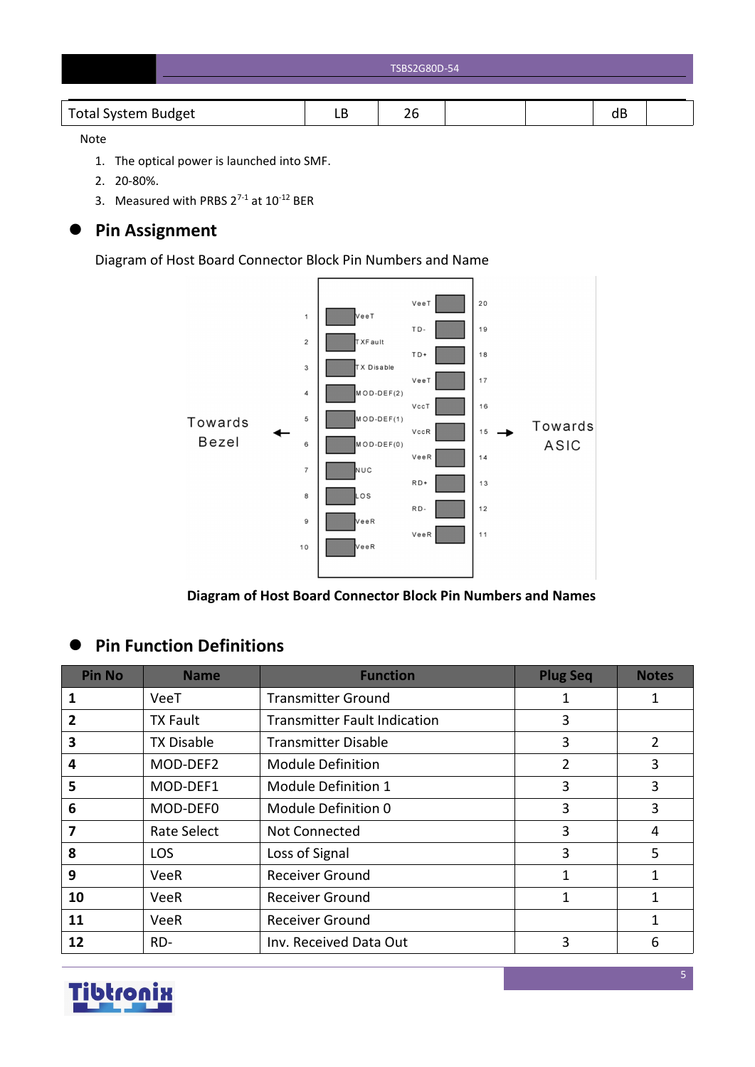| <b>TSBS2G80D-54</b> |
|---------------------|
|                     |

#### Note

- 1. The optical power is launched into SMF.
- 2. 20-80%.
- 3. Measured with PRBS  $2^{7-1}$  at  $10^{-12}$  BER

# **Pin Assignment**

Diagram of Host Board Connector Block Pin Numbers and Name



**Diagram of Host Board Connector Block Pin Numbers and Names**

# **Pin Function Definitions**

| <b>Pin No</b> | <b>Name</b>        | <b>Function</b>                     | <b>Plug Seq</b> | <b>Notes</b> |
|---------------|--------------------|-------------------------------------|-----------------|--------------|
|               | VeeT               | <b>Transmitter Ground</b>           | 1               |              |
| 2             | <b>TX Fault</b>    | <b>Transmitter Fault Indication</b> | 3               |              |
| 3             | <b>TX Disable</b>  | <b>Transmitter Disable</b>          | 3               | 2            |
| 4             | MOD-DEF2           | <b>Module Definition</b>            | 2               | 3            |
| 5             | MOD-DEF1           | Module Definition 1                 | 3               | 3            |
| 6             | MOD-DEF0           | Module Definition 0                 | 3               | 3            |
|               | <b>Rate Select</b> | Not Connected                       | 3               | 4            |
| 8             | <b>LOS</b>         | Loss of Signal                      | 3               | 5            |
| 9             | <b>VeeR</b>        | <b>Receiver Ground</b>              | 1               | 1            |
| 10            | <b>VeeR</b>        | <b>Receiver Ground</b>              | 1               | 1            |
| 11            | <b>VeeR</b>        | <b>Receiver Ground</b>              |                 | 1            |
| 12            | RD-                | Inv. Received Data Out              | 3               | 6            |

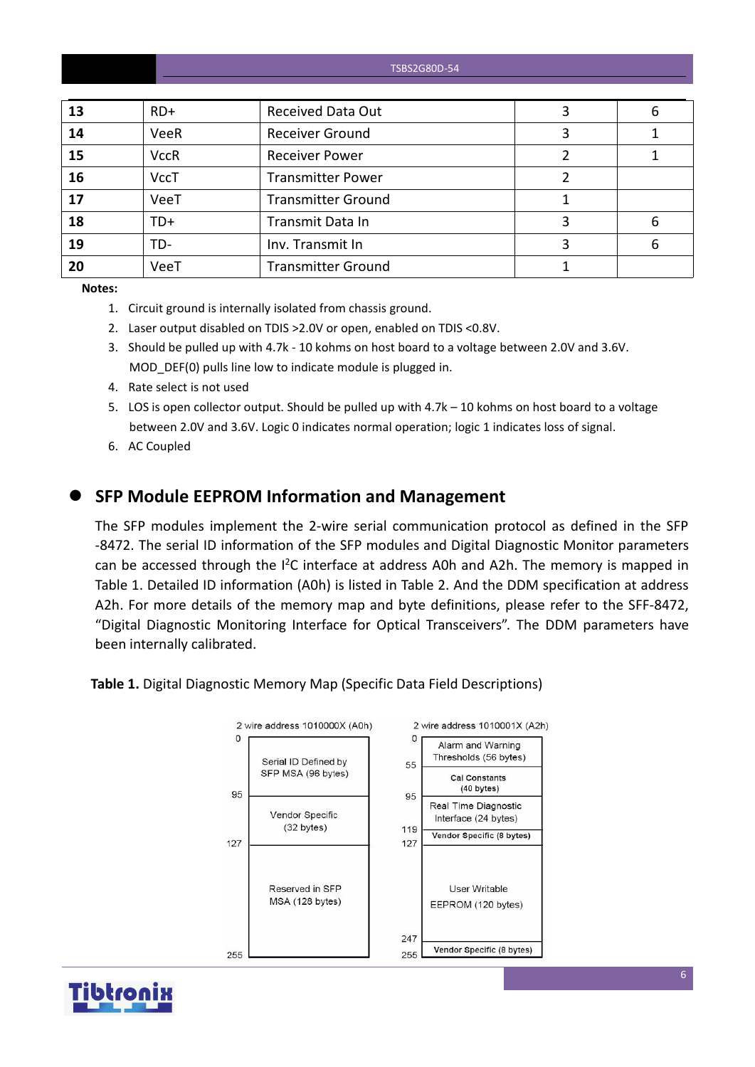TSBS2G80D-54

| <b>Received Data Out</b><br>$RD+$<br>13<br>b<br>Receiver Ground<br>14<br>VeeR<br>15<br><b>VccR</b><br><b>Receiver Power</b><br>16<br><b>VccT</b><br><b>Transmitter Power</b><br>VeeT<br><b>Transmitter Ground</b><br>17<br>18<br>Transmit Data In<br>TD+<br>6<br>19<br>TD-<br>Inv. Transmit In<br>э.<br>6<br>VeeT<br><b>Transmitter Ground</b><br>20 |  |  |  |
|------------------------------------------------------------------------------------------------------------------------------------------------------------------------------------------------------------------------------------------------------------------------------------------------------------------------------------------------------|--|--|--|
|                                                                                                                                                                                                                                                                                                                                                      |  |  |  |
|                                                                                                                                                                                                                                                                                                                                                      |  |  |  |
|                                                                                                                                                                                                                                                                                                                                                      |  |  |  |
|                                                                                                                                                                                                                                                                                                                                                      |  |  |  |
|                                                                                                                                                                                                                                                                                                                                                      |  |  |  |
|                                                                                                                                                                                                                                                                                                                                                      |  |  |  |
|                                                                                                                                                                                                                                                                                                                                                      |  |  |  |
|                                                                                                                                                                                                                                                                                                                                                      |  |  |  |

**Notes:**

- 1. Circuit ground is internally isolated from chassis ground.
- 2. Laser output disabled on TDIS >2.0V or open, enabled on TDIS <0.8V.
- 3. Should be pulled up with 4.7k 10 kohms on host board to a voltage between 2.0V and 3.6V. MOD DEF(0) pulls line low to indicate module is plugged in.
- 4. Rate select is not used
- 5. LOS is open collector output. Should be pulled up with 4.7k 10 kohms on host board to a voltage between 2.0V and 3.6V. Logic 0 indicates normal operation; logic 1 indicates loss of signal.
- 6. AC Coupled

### **SFP Module EEPROM Information and Management**

The SFP modules implement the 2-wire serial communication protocol as defined in the SFP -8472. The serial ID information of the SFP modules and Digital Diagnostic Monitor parameters can be accessed through the  $I^2C$  interface at address A0h and A2h. The memory is mapped in Table 1. Detailed ID information (A0h) is listed in Table 2. And the DDM specification at address A2h. For more details of the memory map and byte definitions, please refer to the SFF-8472, "Digital Diagnostic Monitoring Interface for Optical Transceivers". The DDM parameters have been internally calibrated.

**Table 1.** Digital Diagnostic Memory Map (Specific Data Field Descriptions)



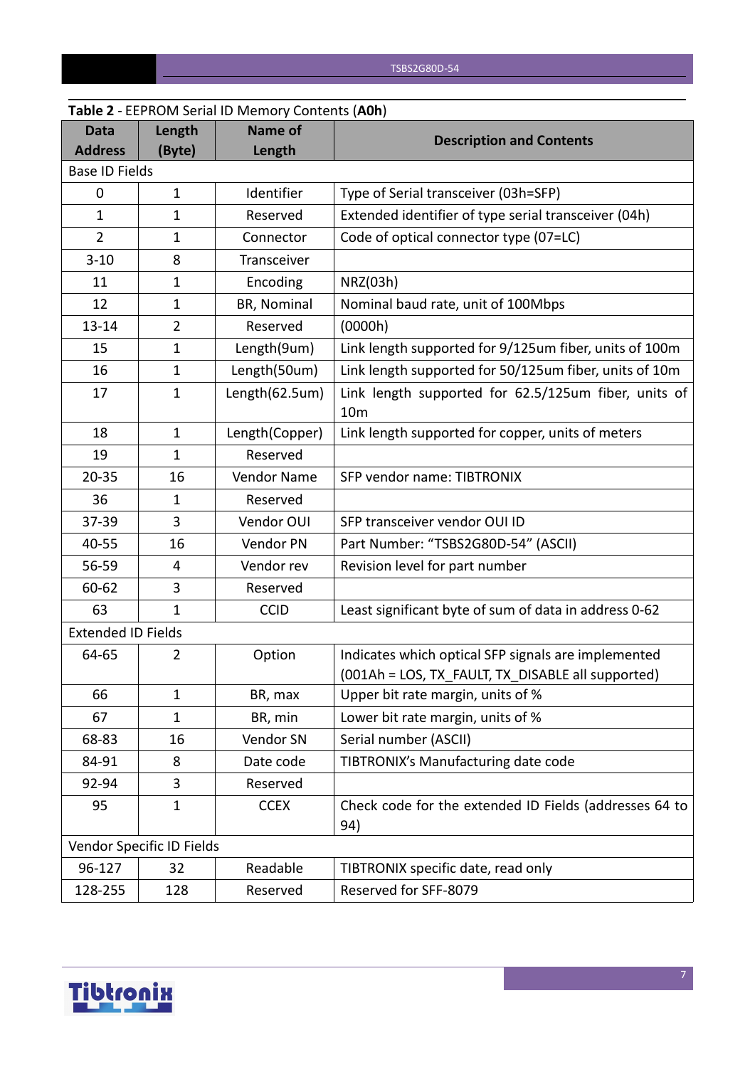|                               |                           | <b>Table 2</b> - LEPNONI SCHALID INCHIOLY COILCHLS (AUIT) |                                                                                                          |
|-------------------------------|---------------------------|-----------------------------------------------------------|----------------------------------------------------------------------------------------------------------|
| <b>Data</b><br><b>Address</b> | Length<br>(Byte)          | <b>Name of</b><br>Length                                  | <b>Description and Contents</b>                                                                          |
| <b>Base ID Fields</b>         |                           |                                                           |                                                                                                          |
| $\mathbf 0$                   | $\mathbf{1}$              | Identifier                                                | Type of Serial transceiver (03h=SFP)                                                                     |
| $\mathbf{1}$                  | $\mathbf 1$               | Reserved                                                  | Extended identifier of type serial transceiver (04h)                                                     |
| $\overline{2}$                | $\mathbf{1}$              | Connector                                                 | Code of optical connector type (07=LC)                                                                   |
| $3 - 10$                      | 8                         | Transceiver                                               |                                                                                                          |
| 11                            | 1                         | Encoding                                                  | NRZ(03h)                                                                                                 |
| 12                            | 1                         | BR, Nominal                                               | Nominal baud rate, unit of 100Mbps                                                                       |
| $13 - 14$                     | $\overline{2}$            | Reserved                                                  | (0000h)                                                                                                  |
| 15                            | $\mathbf{1}$              | Length(9um)                                               | Link length supported for 9/125um fiber, units of 100m                                                   |
| 16                            | $\mathbf{1}$              | Length(50um)                                              | Link length supported for 50/125um fiber, units of 10m                                                   |
| 17                            | $\mathbf{1}$              | Length(62.5um)                                            | Link length supported for 62.5/125um fiber, units of<br>10 <sub>m</sub>                                  |
| 18                            | $\mathbf{1}$              | Length(Copper)                                            | Link length supported for copper, units of meters                                                        |
| 19                            | $\mathbf{1}$              | Reserved                                                  |                                                                                                          |
| $20 - 35$                     | 16                        | Vendor Name                                               | SFP vendor name: TIBTRONIX                                                                               |
| 36                            | 1                         | Reserved                                                  |                                                                                                          |
| 37-39                         | 3                         | Vendor OUI                                                | SFP transceiver vendor OUI ID                                                                            |
| 40-55                         | 16                        | Vendor PN                                                 | Part Number: "TSBS2G80D-54" (ASCII)                                                                      |
| 56-59                         | 4                         | Vendor rev                                                | Revision level for part number                                                                           |
| 60-62                         | 3                         | Reserved                                                  |                                                                                                          |
| 63                            | $\mathbf{1}$              | <b>CCID</b>                                               | Least significant byte of sum of data in address 0-62                                                    |
| <b>Extended ID Fields</b>     |                           |                                                           |                                                                                                          |
| 64-65                         | 2                         | Option                                                    | Indicates which optical SFP signals are implemented<br>(001Ah = LOS, TX_FAULT, TX_DISABLE all supported) |
| 66                            | $\mathbf{1}$              | BR, max                                                   | Upper bit rate margin, units of %                                                                        |
| 67                            | $\mathbf{1}$              | BR, min                                                   | Lower bit rate margin, units of %                                                                        |
| 68-83                         | 16                        | Vendor SN                                                 | Serial number (ASCII)                                                                                    |
| 84-91                         | 8                         | Date code                                                 | TIBTRONIX's Manufacturing date code                                                                      |
| 92-94                         | 3                         | Reserved                                                  |                                                                                                          |
| 95                            | $\mathbf{1}$              | <b>CCEX</b>                                               | Check code for the extended ID Fields (addresses 64 to<br>94)                                            |
|                               | Vendor Specific ID Fields |                                                           |                                                                                                          |
| 96-127                        | 32                        | Readable                                                  | TIBTRONIX specific date, read only                                                                       |
| 128-255                       | 128                       | Reserved                                                  | Reserved for SFF-8079                                                                                    |

# **Table 2** - EEPROM Serial ID Memory Contents (**A0h**)

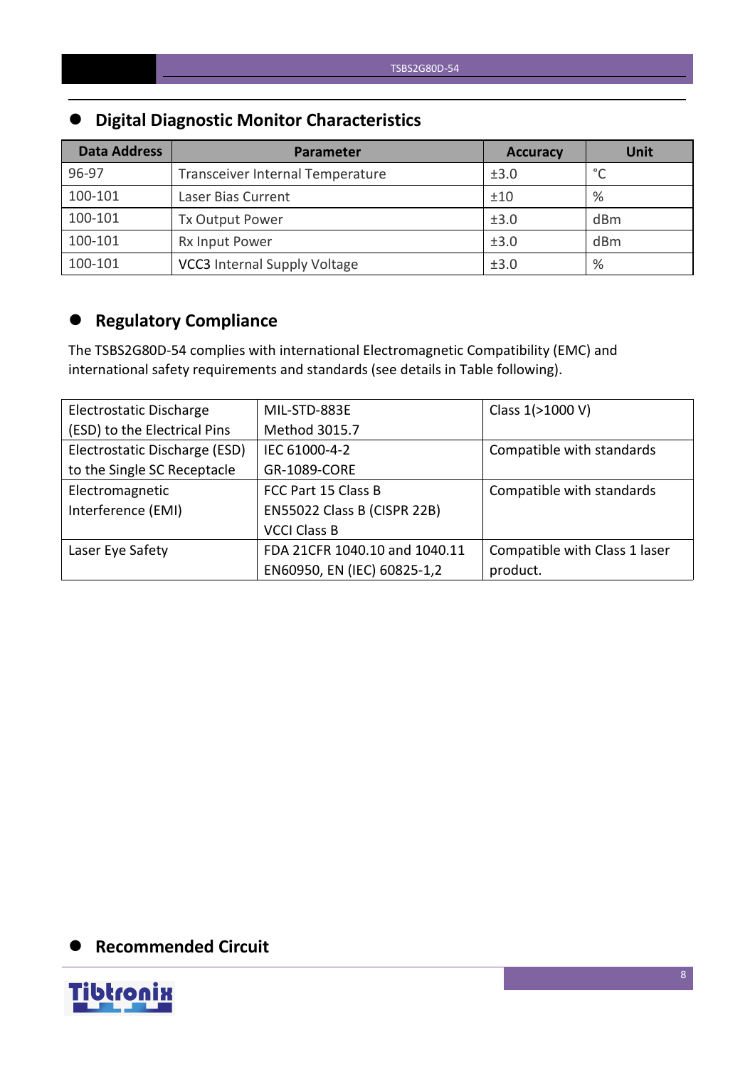# **Digital Diagnostic Monitor Characteristics**

| <b>Data Address</b> | Parameter                           | <b>Accuracy</b> | <b>Unit</b> |
|---------------------|-------------------------------------|-----------------|-------------|
| 96-97               | Transceiver Internal Temperature    | ±3.0            | $\circ$     |
| 100-101             | Laser Bias Current                  | ±10             | %           |
| 100-101             | Tx Output Power                     | ±3.0            | dBm         |
| 100-101             | Rx Input Power                      | ±3.0            | dBm         |
| 100-101             | <b>VCC3</b> Internal Supply Voltage | ±3.0            | %           |

# **Regulatory Compliance**

The TSBS2G80D-54 complies with international Electromagnetic Compatibility (EMC) and international safety requirements and standards (see details in Table following).

| Electrostatic Discharge       | MIL-STD-883E                  | Class 1(>1000 V)              |
|-------------------------------|-------------------------------|-------------------------------|
| (ESD) to the Electrical Pins  | Method 3015.7                 |                               |
| Electrostatic Discharge (ESD) | IEC 61000-4-2                 | Compatible with standards     |
| to the Single SC Receptacle   | GR-1089-CORE                  |                               |
| Electromagnetic               | FCC Part 15 Class B           | Compatible with standards     |
| Interference (EMI)            | EN55022 Class B (CISPR 22B)   |                               |
|                               | <b>VCCI Class B</b>           |                               |
| Laser Eye Safety              | FDA 21CFR 1040.10 and 1040.11 | Compatible with Class 1 laser |
|                               | EN60950, EN (IEC) 60825-1,2   | product.                      |

# **Recommended Circuit**

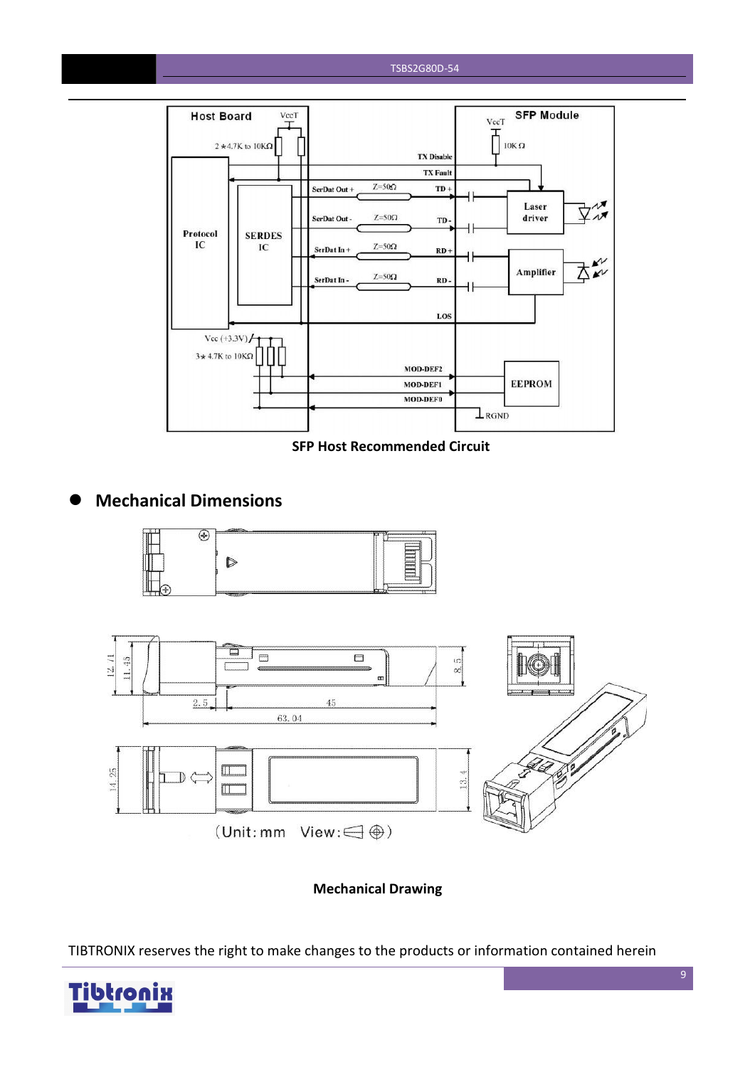#### TSBS2G80D-54



**SFP Host Recommended Circuit**

### **Mechanical Dimensions**





**Mechanical Drawing**

TIBTRONIX reserves the right to make changes to the products or information contained herein